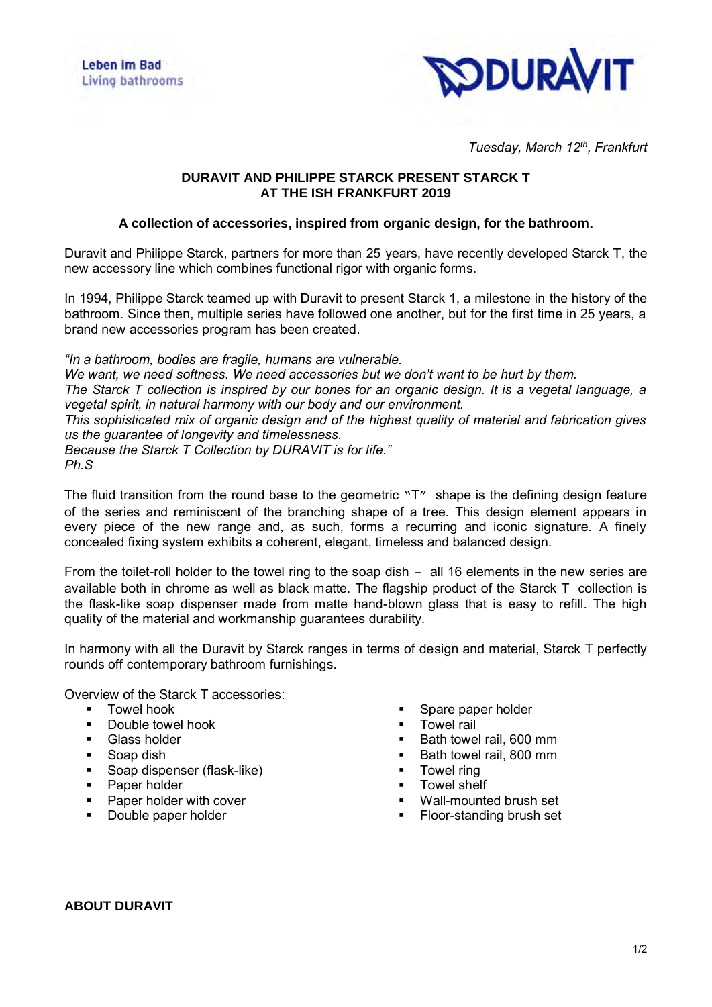

*Tuesday, March 12th, Frankfurt*

## **DURAVIT AND PHILIPPE STARCK PRESENT STARCK T AT THE ISH FRANKFURT 2019**

## **A collection of accessories, inspired from organic design, for the bathroom.**

Duravit and Philippe Starck, partners for more than 25 years, have recently developed Starck T, the new accessory line which combines functional rigor with organic forms.

In 1994, Philippe Starck teamed up with Duravit to present Starck 1, a milestone in the history of the bathroom. Since then, multiple series have followed one another, but for the first time in 25 years, a brand new accessories program has been created.

*"In a bathroom, bodies are fragile, humans are vulnerable.* 

*We want, we need softness. We need accessories but we don't want to be hurt by them. The Starck T collection is inspired by our bones for an organic design. It is a vegetal language, a vegetal spirit, in natural harmony with our body and our environment. This sophisticated mix of organic design and of the highest quality of material and fabrication gives us the guarantee of longevity and timelessness.* 

*Because the Starck T Collection by DURAVIT is for life." Ph.S*

The fluid transition from the round base to the geometric  $T''$  shape is the defining design feature of the series and reminiscent of the branching shape of a tree. This design element appears in every piece of the new range and, as such, forms a recurring and iconic signature. A finely concealed fixing system exhibits a coherent, elegant, timeless and balanced design.

From the toilet-roll holder to the towel ring to the soap dish – all 16 elements in the new series are available both in chrome as well as black matte. The flagship product of the Starck T collection is the flask-like soap dispenser made from matte hand-blown glass that is easy to refill. The high quality of the material and workmanship guarantees durability.

In harmony with all the Duravit by Starck ranges in terms of design and material, Starck T perfectly rounds off contemporary bathroom furnishings.

Overview of the Starck T accessories:

- Towel hook
- Double towel hook
- **Glass holder**
- Soap dish
- Soap dispenser (flask-like)<br>■ Paner holder
- Paper holder
- Paper holder with cover
- Double paper holder
- Spare paper holder
- **Towel rail**
- Bath towel rail, 600 mm
- Bath towel rail, 800 mm
- Towel ring
- **Towel shelf**
- Wall-mounted brush set
- Floor-standing brush set

## **ABOUT DURAVIT**